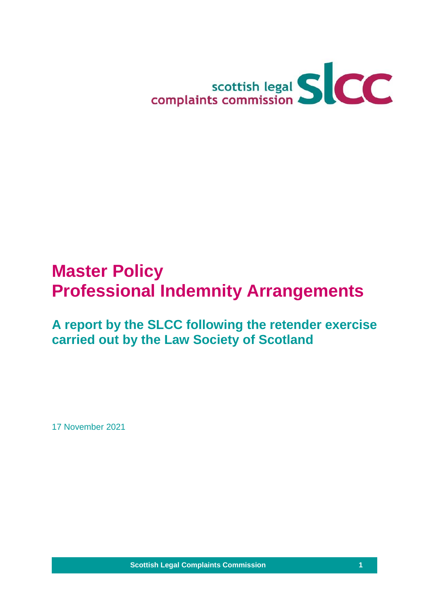

# **Master Policy Professional Indemnity Arrangements**

**A report by the SLCC following the retender exercise carried out by the Law Society of Scotland** 

17 November 2021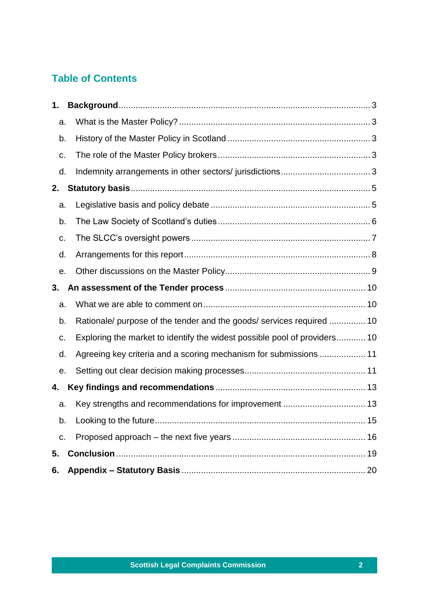# **Table of Contents**

| 1. |                                                                           |
|----|---------------------------------------------------------------------------|
| a. |                                                                           |
| b. |                                                                           |
| C. |                                                                           |
| d. |                                                                           |
| 2. |                                                                           |
| a. |                                                                           |
| b. |                                                                           |
| C. |                                                                           |
| d. |                                                                           |
| e. |                                                                           |
| 3. |                                                                           |
| a. |                                                                           |
| b. | Rationale/ purpose of the tender and the goods/ services required  10     |
| C. | Exploring the market to identify the widest possible pool of providers 10 |
| d. | Agreeing key criteria and a scoring mechanism for submissions  11         |
| е. |                                                                           |
| 4. |                                                                           |
| a. |                                                                           |
| b. |                                                                           |
| c. |                                                                           |
| 5. |                                                                           |
| 6. |                                                                           |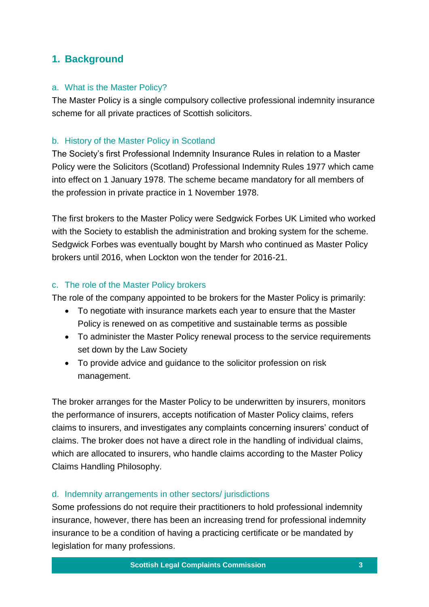## <span id="page-2-0"></span>**1. Background**

#### <span id="page-2-1"></span>a. What is the Master Policy?

The Master Policy is a single compulsory collective professional indemnity insurance scheme for all private practices of Scottish solicitors.

#### <span id="page-2-2"></span>b. History of the Master Policy in Scotland

The Society's first Professional Indemnity Insurance Rules in relation to a Master Policy were the Solicitors (Scotland) Professional Indemnity Rules 1977 which came into effect on 1 January 1978. The scheme became mandatory for all members of the profession in private practice in 1 November 1978.

The first brokers to the Master Policy were Sedgwick Forbes UK Limited who worked with the Society to establish the administration and broking system for the scheme. Sedgwick Forbes was eventually bought by Marsh who continued as Master Policy brokers until 2016, when Lockton won the tender for 2016-21.

#### <span id="page-2-3"></span>c. The role of the Master Policy brokers

The role of the company appointed to be brokers for the Master Policy is primarily:

- To negotiate with insurance markets each year to ensure that the Master Policy is renewed on as competitive and sustainable terms as possible
- To administer the Master Policy renewal process to the service requirements set down by the Law Society
- To provide advice and guidance to the solicitor profession on risk management.

The broker arranges for the Master Policy to be underwritten by insurers, monitors the performance of insurers, accepts notification of Master Policy claims, refers claims to insurers, and investigates any complaints concerning insurers' conduct of claims. The broker does not have a direct role in the handling of individual claims, which are allocated to insurers, who handle claims according to the Master Policy Claims Handling Philosophy.

#### <span id="page-2-4"></span>d. Indemnity arrangements in other sectors/ jurisdictions

Some professions do not require their practitioners to hold professional indemnity insurance, however, there has been an increasing trend for professional indemnity insurance to be a condition of having a practicing certificate or be mandated by legislation for many professions.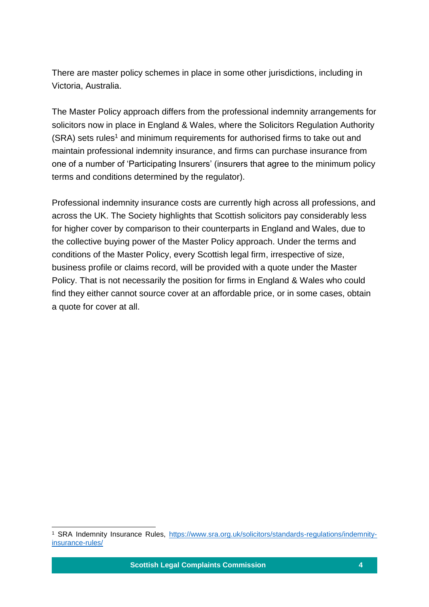There are master policy schemes in place in some other jurisdictions, including in Victoria, Australia.

The Master Policy approach differs from the professional indemnity arrangements for solicitors now in place in England & Wales, where the Solicitors Regulation Authority (SRA) sets rules<sup>1</sup> and minimum requirements for authorised firms to take out and maintain professional indemnity insurance, and firms can purchase insurance from one of a number of 'Participating Insurers' (insurers that agree to the minimum policy terms and conditions determined by the regulator).

Professional indemnity insurance costs are currently high across all professions, and across the UK. The Society highlights that Scottish solicitors pay considerably less for higher cover by comparison to their counterparts in England and Wales, due to the collective buying power of the Master Policy approach. Under the terms and conditions of the Master Policy, every Scottish legal firm, irrespective of size, business profile or claims record, will be provided with a quote under the Master Policy. That is not necessarily the position for firms in England & Wales who could find they either cannot source cover at an affordable price, or in some cases, obtain a quote for cover at all.

 $\overline{a}$ 

<sup>1</sup> SRA Indemnity Insurance Rules, [https://www.sra.org.uk/solicitors/standards-regulations/indemnity](https://www.sra.org.uk/solicitors/standards-regulations/indemnity-insurance-rules/)[insurance-rules/](https://www.sra.org.uk/solicitors/standards-regulations/indemnity-insurance-rules/)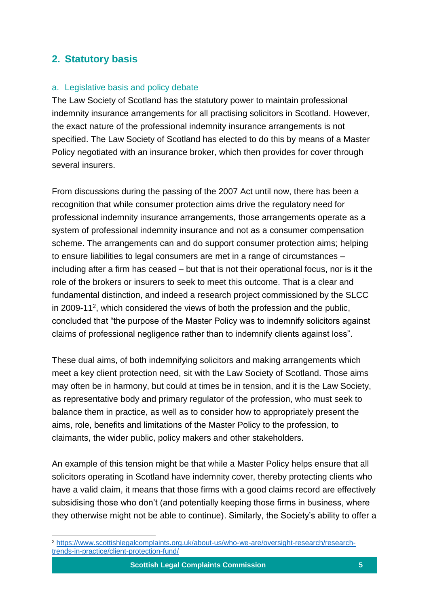## <span id="page-4-0"></span>**2. Statutory basis**

-

#### <span id="page-4-1"></span>a. Legislative basis and policy debate

The Law Society of Scotland has the statutory power to maintain professional indemnity insurance arrangements for all practising solicitors in Scotland. However, the exact nature of the professional indemnity insurance arrangements is not specified. The Law Society of Scotland has elected to do this by means of a Master Policy negotiated with an insurance broker, which then provides for cover through several insurers.

From discussions during the passing of the 2007 Act until now, there has been a recognition that while consumer protection aims drive the regulatory need for professional indemnity insurance arrangements, those arrangements operate as a system of professional indemnity insurance and not as a consumer compensation scheme. The arrangements can and do support consumer protection aims; helping to ensure liabilities to legal consumers are met in a range of circumstances – including after a firm has ceased – but that is not their operational focus, nor is it the role of the brokers or insurers to seek to meet this outcome. That is a clear and fundamental distinction, and indeed a research project commissioned by the SLCC in 2009-11<sup>2</sup>, which considered the views of both the profession and the public, concluded that "the purpose of the Master Policy was to indemnify solicitors against claims of professional negligence rather than to indemnify clients against loss".

These dual aims, of both indemnifying solicitors and making arrangements which meet a key client protection need, sit with the Law Society of Scotland. Those aims may often be in harmony, but could at times be in tension, and it is the Law Society, as representative body and primary regulator of the profession, who must seek to balance them in practice, as well as to consider how to appropriately present the aims, role, benefits and limitations of the Master Policy to the profession, to claimants, the wider public, policy makers and other stakeholders.

An example of this tension might be that while a Master Policy helps ensure that all solicitors operating in Scotland have indemnity cover, thereby protecting clients who have a valid claim, it means that those firms with a good claims record are effectively subsidising those who don't (and potentially keeping those firms in business, where they otherwise might not be able to continue). Similarly, the Society's ability to offer a

<sup>2</sup> [https://www.scottishlegalcomplaints.org.uk/about-us/who-we-are/oversight-research/research](https://www.scottishlegalcomplaints.org.uk/about-us/who-we-are/oversight-research/research-trends-in-practice/client-protection-fund/)[trends-in-practice/client-protection-fund/](https://www.scottishlegalcomplaints.org.uk/about-us/who-we-are/oversight-research/research-trends-in-practice/client-protection-fund/)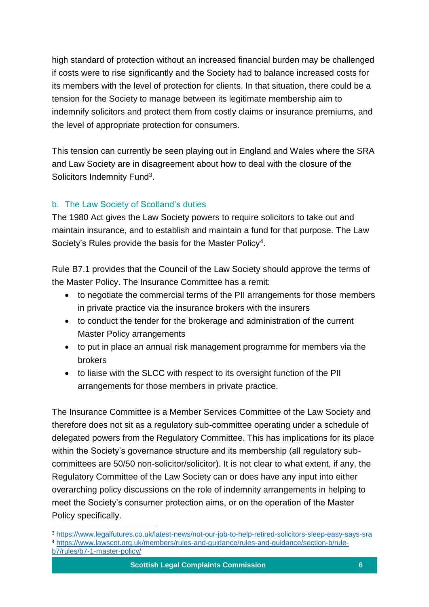high standard of protection without an increased financial burden may be challenged if costs were to rise significantly and the Society had to balance increased costs for its members with the level of protection for clients. In that situation, there could be a tension for the Society to manage between its legitimate membership aim to indemnify solicitors and protect them from costly claims or insurance premiums, and the level of appropriate protection for consumers.

This tension can currently be seen playing out in England and Wales where the SRA and Law Society are in disagreement about how to deal with the closure of the Solicitors Indemnity Fund<sup>3</sup>.

## <span id="page-5-0"></span>b. The Law Society of Scotland's duties

 $\overline{a}$ 

The 1980 Act gives the Law Society powers to require solicitors to take out and maintain insurance, and to establish and maintain a fund for that purpose. The Law Society's Rules provide the basis for the Master Policy<sup>4</sup>.

Rule B7.1 provides that the Council of the Law Society should approve the terms of the Master Policy. The Insurance Committee has a remit:

- to negotiate the commercial terms of the PII arrangements for those members in private practice via the insurance brokers with the insurers
- to conduct the tender for the brokerage and administration of the current Master Policy arrangements
- to put in place an annual risk management programme for members via the brokers
- to liaise with the SLCC with respect to its oversight function of the PII arrangements for those members in private practice.

The Insurance Committee is a Member Services Committee of the Law Society and therefore does not sit as a regulatory sub-committee operating under a schedule of delegated powers from the Regulatory Committee. This has implications for its place within the Society's governance structure and its membership (all regulatory subcommittees are 50/50 non-solicitor/solicitor). It is not clear to what extent, if any, the Regulatory Committee of the Law Society can or does have any input into either overarching policy discussions on the role of indemnity arrangements in helping to meet the Society's consumer protection aims, or on the operation of the Master Policy specifically.

<sup>3</sup> <https://www.legalfutures.co.uk/latest-news/not-our-job-to-help-retired-solicitors-sleep-easy-says-sra> <sup>4</sup> [https://www.lawscot.org.uk/members/rules-and-guidance/rules-and-guidance/section-b/rule](https://www.lawscot.org.uk/members/rules-and-guidance/rules-and-guidance/section-b/rule-b7/rules/b7-1-master-policy/)[b7/rules/b7-1-master-policy/](https://www.lawscot.org.uk/members/rules-and-guidance/rules-and-guidance/section-b/rule-b7/rules/b7-1-master-policy/)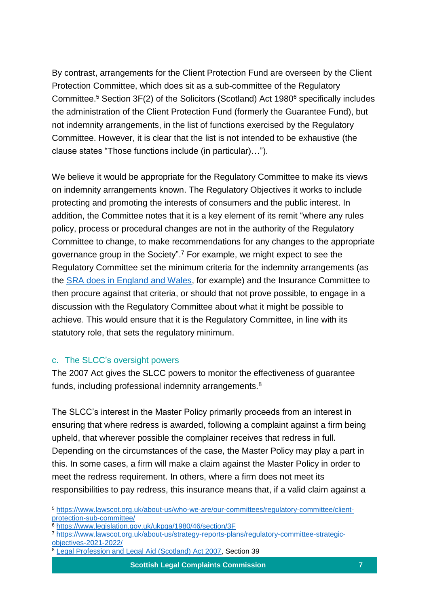By contrast, arrangements for the Client Protection Fund are overseen by the Client Protection Committee, which does sit as a sub-committee of the Regulatory Committee.<sup>5</sup> Section 3F(2) of the Solicitors (Scotland) Act 1980<sup>6</sup> specifically includes the administration of the Client Protection Fund (formerly the Guarantee Fund), but not indemnity arrangements, in the list of functions exercised by the Regulatory Committee. However, it is clear that the list is not intended to be exhaustive (the clause states "Those functions include (in particular)…").

We believe it would be appropriate for the Regulatory Committee to make its views on indemnity arrangements known. The Regulatory Objectives it works to include protecting and promoting the interests of consumers and the public interest. In addition, the Committee notes that it is a key element of its remit "where any rules policy, process or procedural changes are not in the authority of the Regulatory Committee to change, to make recommendations for any changes to the appropriate governance group in the Society". <sup>7</sup> For example, we might expect to see the Regulatory Committee set the minimum criteria for the indemnity arrangements (as the [SRA does in England and Wales,](https://www.sra.org.uk/solicitors/standards-regulations/indemnity-insurance-rules/) for example) and the Insurance Committee to then procure against that criteria, or should that not prove possible, to engage in a discussion with the Regulatory Committee about what it might be possible to achieve. This would ensure that it is the Regulatory Committee, in line with its statutory role, that sets the regulatory minimum.

#### <span id="page-6-0"></span>c. The SLCC's oversight powers

The 2007 Act gives the SLCC powers to monitor the effectiveness of guarantee funds, including professional indemnity arrangements.<sup>8</sup>

The SLCC's interest in the Master Policy primarily proceeds from an interest in ensuring that where redress is awarded, following a complaint against a firm being upheld, that wherever possible the complainer receives that redress in full. Depending on the circumstances of the case, the Master Policy may play a part in this. In some cases, a firm will make a claim against the Master Policy in order to meet the redress requirement. In others, where a firm does not meet its responsibilities to pay redress, this insurance means that, if a valid claim against a

 $\overline{a}$ <sup>5</sup> [https://www.lawscot.org.uk/about-us/who-we-are/our-committees/regulatory-committee/client](https://www.lawscot.org.uk/about-us/who-we-are/our-committees/regulatory-committee/client-protection-sub-committee/)[protection-sub-committee/](https://www.lawscot.org.uk/about-us/who-we-are/our-committees/regulatory-committee/client-protection-sub-committee/)

<sup>6</sup> <https://www.legislation.gov.uk/ukpga/1980/46/section/3F>

<sup>7</sup> [https://www.lawscot.org.uk/about-us/strategy-reports-plans/regulatory-committee-strategic](https://www.lawscot.org.uk/about-us/strategy-reports-plans/regulatory-committee-strategic-objectives-2021-2022/)[objectives-2021-2022/](https://www.lawscot.org.uk/about-us/strategy-reports-plans/regulatory-committee-strategic-objectives-2021-2022/)

<sup>&</sup>lt;sup>8</sup> [Legal Profession and Legal Aid \(Scotland\) Act 2007,](https://www.legislation.gov.uk/asp/2007/5/section/39) Section 39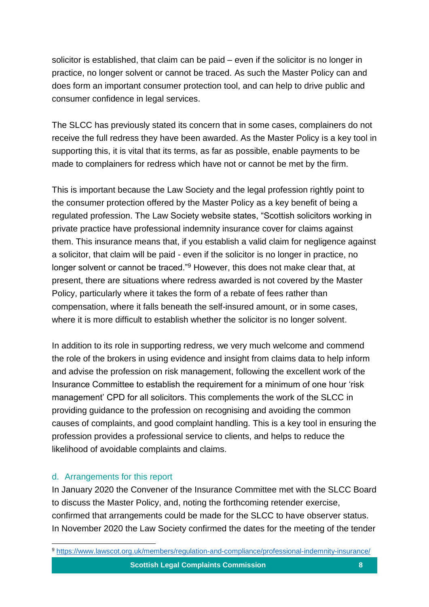solicitor is established, that claim can be paid – even if the solicitor is no longer in practice, no longer solvent or cannot be traced. As such the Master Policy can and does form an important consumer protection tool, and can help to drive public and consumer confidence in legal services.

The SLCC has previously stated its concern that in some cases, complainers do not receive the full redress they have been awarded. As the Master Policy is a key tool in supporting this, it is vital that its terms, as far as possible, enable payments to be made to complainers for redress which have not or cannot be met by the firm.

This is important because the Law Society and the legal profession rightly point to the consumer protection offered by the Master Policy as a key benefit of being a regulated profession. The Law Society website states, "Scottish solicitors working in private practice have professional indemnity insurance cover for claims against them. This insurance means that, if you establish a valid claim for negligence against a solicitor, that claim will be paid - even if the solicitor is no longer in practice, no longer solvent or cannot be traced."<sup>9</sup> However, this does not make clear that, at present, there are situations where redress awarded is not covered by the Master Policy, particularly where it takes the form of a rebate of fees rather than compensation, where it falls beneath the self-insured amount, or in some cases, where it is more difficult to establish whether the solicitor is no longer solvent.

In addition to its role in supporting redress, we very much welcome and commend the role of the brokers in using evidence and insight from claims data to help inform and advise the profession on risk management, following the excellent work of the Insurance Committee to establish the requirement for a minimum of one hour 'risk management' CPD for all solicitors. This complements the work of the SLCC in providing guidance to the profession on recognising and avoiding the common causes of complaints, and good complaint handling. This is a key tool in ensuring the profession provides a professional service to clients, and helps to reduce the likelihood of avoidable complaints and claims.

#### <span id="page-7-0"></span>d. Arrangements for this report

-

In January 2020 the Convener of the Insurance Committee met with the SLCC Board to discuss the Master Policy, and, noting the forthcoming retender exercise, confirmed that arrangements could be made for the SLCC to have observer status. In November 2020 the Law Society confirmed the dates for the meeting of the tender

<sup>9</sup> <https://www.lawscot.org.uk/members/regulation-and-compliance/professional-indemnity-insurance/>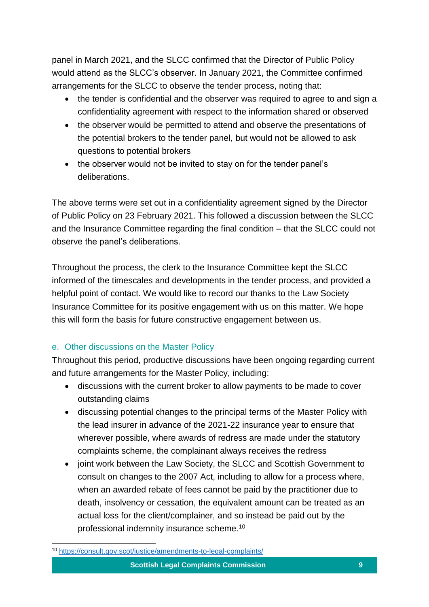panel in March 2021, and the SLCC confirmed that the Director of Public Policy would attend as the SLCC's observer. In January 2021, the Committee confirmed arrangements for the SLCC to observe the tender process, noting that:

- the tender is confidential and the observer was required to agree to and sign a confidentiality agreement with respect to the information shared or observed
- the observer would be permitted to attend and observe the presentations of the potential brokers to the tender panel, but would not be allowed to ask questions to potential brokers
- the observer would not be invited to stay on for the tender panel's deliberations.

The above terms were set out in a confidentiality agreement signed by the Director of Public Policy on 23 February 2021. This followed a discussion between the SLCC and the Insurance Committee regarding the final condition – that the SLCC could not observe the panel's deliberations.

Throughout the process, the clerk to the Insurance Committee kept the SLCC informed of the timescales and developments in the tender process, and provided a helpful point of contact. We would like to record our thanks to the Law Society Insurance Committee for its positive engagement with us on this matter. We hope this will form the basis for future constructive engagement between us.

## <span id="page-8-0"></span>e. Other discussions on the Master Policy

Throughout this period, productive discussions have been ongoing regarding current and future arrangements for the Master Policy, including:

- discussions with the current broker to allow payments to be made to cover outstanding claims
- discussing potential changes to the principal terms of the Master Policy with the lead insurer in advance of the 2021-22 insurance year to ensure that wherever possible, where awards of redress are made under the statutory complaints scheme, the complainant always receives the redress
- joint work between the Law Society, the SLCC and Scottish Government to consult on changes to the 2007 Act, including to allow for a process where, when an awarded rebate of fees cannot be paid by the practitioner due to death, insolvency or cessation, the equivalent amount can be treated as an actual loss for the client/complainer, and so instead be paid out by the professional indemnity insurance scheme.<sup>10</sup>

-

<sup>10</sup> <https://consult.gov.scot/justice/amendments-to-legal-complaints/>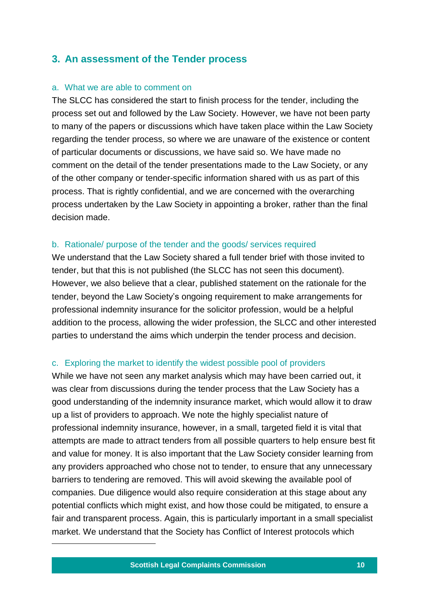### <span id="page-9-0"></span>**3. An assessment of the Tender process**

#### <span id="page-9-1"></span>a. What we are able to comment on

The SLCC has considered the start to finish process for the tender, including the process set out and followed by the Law Society. However, we have not been party to many of the papers or discussions which have taken place within the Law Society regarding the tender process, so where we are unaware of the existence or content of particular documents or discussions, we have said so. We have made no comment on the detail of the tender presentations made to the Law Society, or any of the other company or tender-specific information shared with us as part of this process. That is rightly confidential, and we are concerned with the overarching process undertaken by the Law Society in appointing a broker, rather than the final decision made.

#### <span id="page-9-2"></span>b. Rationale/ purpose of the tender and the goods/ services required

We understand that the Law Society shared a full tender brief with those invited to tender, but that this is not published (the SLCC has not seen this document). However, we also believe that a clear, published statement on the rationale for the tender, beyond the Law Society's ongoing requirement to make arrangements for professional indemnity insurance for the solicitor profession, would be a helpful addition to the process, allowing the wider profession, the SLCC and other interested parties to understand the aims which underpin the tender process and decision.

#### <span id="page-9-3"></span>c. Exploring the market to identify the widest possible pool of providers

While we have not seen any market analysis which may have been carried out, it was clear from discussions during the tender process that the Law Society has a good understanding of the indemnity insurance market, which would allow it to draw up a list of providers to approach. We note the highly specialist nature of professional indemnity insurance, however, in a small, targeted field it is vital that attempts are made to attract tenders from all possible quarters to help ensure best fit and value for money. It is also important that the Law Society consider learning from any providers approached who chose not to tender, to ensure that any unnecessary barriers to tendering are removed. This will avoid skewing the available pool of companies. Due diligence would also require consideration at this stage about any potential conflicts which might exist, and how those could be mitigated, to ensure a fair and transparent process. Again, this is particularly important in a small specialist market. We understand that the Society has Conflict of Interest protocols which

-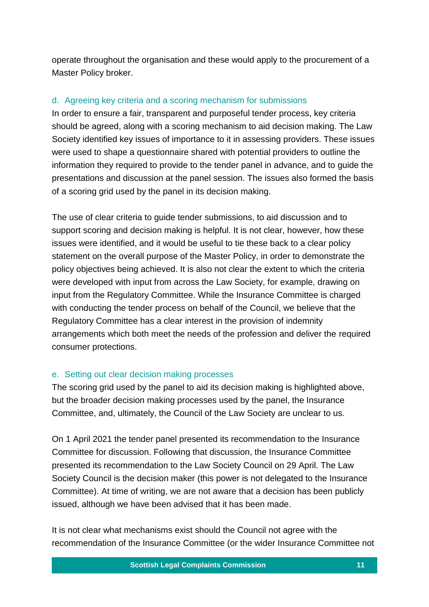operate throughout the organisation and these would apply to the procurement of a Master Policy broker.

#### <span id="page-10-0"></span>d. Agreeing key criteria and a scoring mechanism for submissions

In order to ensure a fair, transparent and purposeful tender process, key criteria should be agreed, along with a scoring mechanism to aid decision making. The Law Society identified key issues of importance to it in assessing providers. These issues were used to shape a questionnaire shared with potential providers to outline the information they required to provide to the tender panel in advance, and to guide the presentations and discussion at the panel session. The issues also formed the basis of a scoring grid used by the panel in its decision making.

The use of clear criteria to guide tender submissions, to aid discussion and to support scoring and decision making is helpful. It is not clear, however, how these issues were identified, and it would be useful to tie these back to a clear policy statement on the overall purpose of the Master Policy, in order to demonstrate the policy objectives being achieved. It is also not clear the extent to which the criteria were developed with input from across the Law Society, for example, drawing on input from the Regulatory Committee. While the Insurance Committee is charged with conducting the tender process on behalf of the Council, we believe that the Regulatory Committee has a clear interest in the provision of indemnity arrangements which both meet the needs of the profession and deliver the required consumer protections.

#### <span id="page-10-1"></span>e. Setting out clear decision making processes

The scoring grid used by the panel to aid its decision making is highlighted above, but the broader decision making processes used by the panel, the Insurance Committee, and, ultimately, the Council of the Law Society are unclear to us.

On 1 April 2021 the tender panel presented its recommendation to the Insurance Committee for discussion. Following that discussion, the Insurance Committee presented its recommendation to the Law Society Council on 29 April. The Law Society Council is the decision maker (this power is not delegated to the Insurance Committee). At time of writing, we are not aware that a decision has been publicly issued, although we have been advised that it has been made.

It is not clear what mechanisms exist should the Council not agree with the recommendation of the Insurance Committee (or the wider Insurance Committee not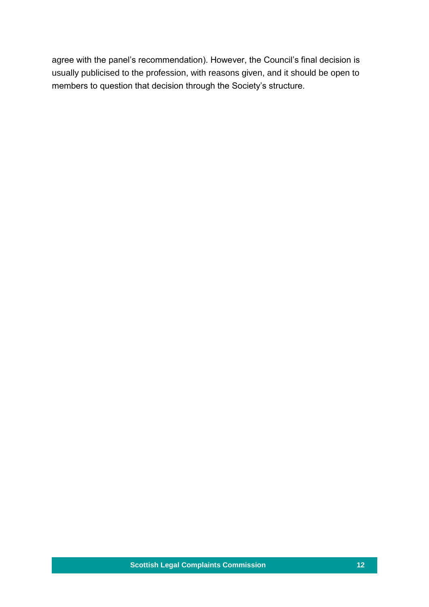agree with the panel's recommendation). However, the Council's final decision is usually publicised to the profession, with reasons given, and it should be open to members to question that decision through the Society's structure.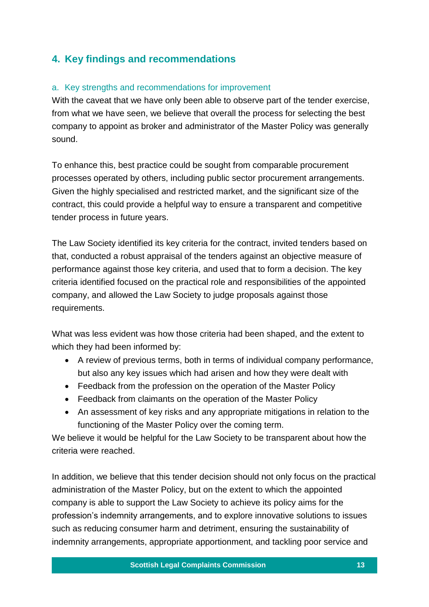# <span id="page-12-0"></span>**4. Key findings and recommendations**

#### <span id="page-12-1"></span>a. Key strengths and recommendations for improvement

With the caveat that we have only been able to observe part of the tender exercise. from what we have seen, we believe that overall the process for selecting the best company to appoint as broker and administrator of the Master Policy was generally sound.

To enhance this, best practice could be sought from comparable procurement processes operated by others, including public sector procurement arrangements. Given the highly specialised and restricted market, and the significant size of the contract, this could provide a helpful way to ensure a transparent and competitive tender process in future years.

The Law Society identified its key criteria for the contract, invited tenders based on that, conducted a robust appraisal of the tenders against an objective measure of performance against those key criteria, and used that to form a decision. The key criteria identified focused on the practical role and responsibilities of the appointed company, and allowed the Law Society to judge proposals against those requirements.

What was less evident was how those criteria had been shaped, and the extent to which they had been informed by:

- A review of previous terms, both in terms of individual company performance, but also any key issues which had arisen and how they were dealt with
- Feedback from the profession on the operation of the Master Policy
- Feedback from claimants on the operation of the Master Policy
- An assessment of key risks and any appropriate mitigations in relation to the functioning of the Master Policy over the coming term.

We believe it would be helpful for the Law Society to be transparent about how the criteria were reached.

In addition, we believe that this tender decision should not only focus on the practical administration of the Master Policy, but on the extent to which the appointed company is able to support the Law Society to achieve its policy aims for the profession's indemnity arrangements, and to explore innovative solutions to issues such as reducing consumer harm and detriment, ensuring the sustainability of indemnity arrangements, appropriate apportionment, and tackling poor service and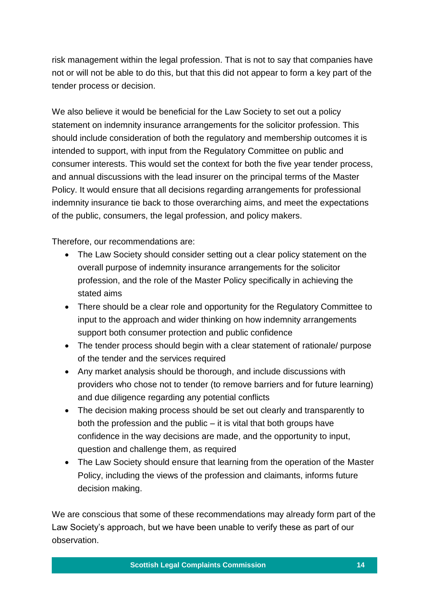risk management within the legal profession. That is not to say that companies have not or will not be able to do this, but that this did not appear to form a key part of the tender process or decision.

We also believe it would be beneficial for the Law Society to set out a policy statement on indemnity insurance arrangements for the solicitor profession. This should include consideration of both the regulatory and membership outcomes it is intended to support, with input from the Regulatory Committee on public and consumer interests. This would set the context for both the five year tender process, and annual discussions with the lead insurer on the principal terms of the Master Policy. It would ensure that all decisions regarding arrangements for professional indemnity insurance tie back to those overarching aims, and meet the expectations of the public, consumers, the legal profession, and policy makers.

Therefore, our recommendations are:

- The Law Society should consider setting out a clear policy statement on the overall purpose of indemnity insurance arrangements for the solicitor profession, and the role of the Master Policy specifically in achieving the stated aims
- There should be a clear role and opportunity for the Regulatory Committee to input to the approach and wider thinking on how indemnity arrangements support both consumer protection and public confidence
- The tender process should begin with a clear statement of rationale/ purpose of the tender and the services required
- Any market analysis should be thorough, and include discussions with providers who chose not to tender (to remove barriers and for future learning) and due diligence regarding any potential conflicts
- The decision making process should be set out clearly and transparently to both the profession and the public  $-$  it is vital that both groups have confidence in the way decisions are made, and the opportunity to input, question and challenge them, as required
- The Law Society should ensure that learning from the operation of the Master Policy, including the views of the profession and claimants, informs future decision making.

We are conscious that some of these recommendations may already form part of the Law Society's approach, but we have been unable to verify these as part of our observation.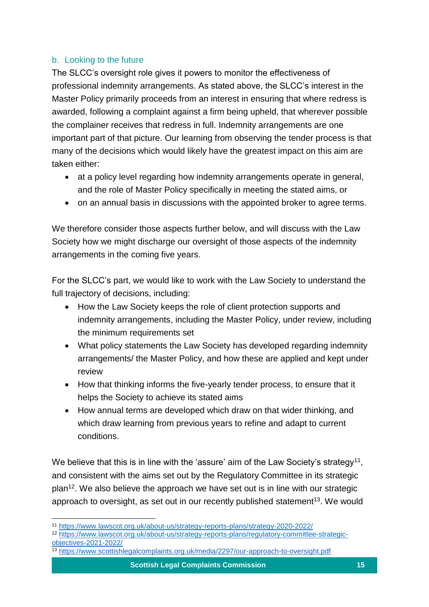#### <span id="page-14-0"></span>b. Looking to the future

The SLCC's oversight role gives it powers to monitor the effectiveness of professional indemnity arrangements. As stated above, the SLCC's interest in the Master Policy primarily proceeds from an interest in ensuring that where redress is awarded, following a complaint against a firm being upheld, that wherever possible the complainer receives that redress in full. Indemnity arrangements are one important part of that picture. Our learning from observing the tender process is that many of the decisions which would likely have the greatest impact on this aim are taken either:

- at a policy level regarding how indemnity arrangements operate in general, and the role of Master Policy specifically in meeting the stated aims, or
- on an annual basis in discussions with the appointed broker to agree terms.

We therefore consider those aspects further below, and will discuss with the Law Society how we might discharge our oversight of those aspects of the indemnity arrangements in the coming five years.

For the SLCC's part, we would like to work with the Law Society to understand the full trajectory of decisions, including:

- How the Law Society keeps the role of client protection supports and indemnity arrangements, including the Master Policy, under review, including the minimum requirements set
- What policy statements the Law Society has developed regarding indemnity arrangements/ the Master Policy, and how these are applied and kept under review
- How that thinking informs the five-yearly tender process, to ensure that it helps the Society to achieve its stated aims
- How annual terms are developed which draw on that wider thinking, and which draw learning from previous years to refine and adapt to current conditions.

We believe that this is in line with the 'assure' aim of the Law Society's strategy<sup>11</sup>, and consistent with the aims set out by the Regulatory Committee in its strategic plan<sup>12</sup>. We also believe the approach we have set out is in line with our strategic approach to oversight, as set out in our recently published statement<sup>13</sup>. We would

-

<sup>13</sup> <https://www.scottishlegalcomplaints.org.uk/media/2297/our-approach-to-oversight.pdf>

<sup>11</sup> <https://www.lawscot.org.uk/about-us/strategy-reports-plans/strategy-2020-2022/>

<sup>12</sup> [https://www.lawscot.org.uk/about-us/strategy-reports-plans/regulatory-committee-strategic](https://www.lawscot.org.uk/about-us/strategy-reports-plans/regulatory-committee-strategic-objectives-2021-2022/)[objectives-2021-2022/](https://www.lawscot.org.uk/about-us/strategy-reports-plans/regulatory-committee-strategic-objectives-2021-2022/)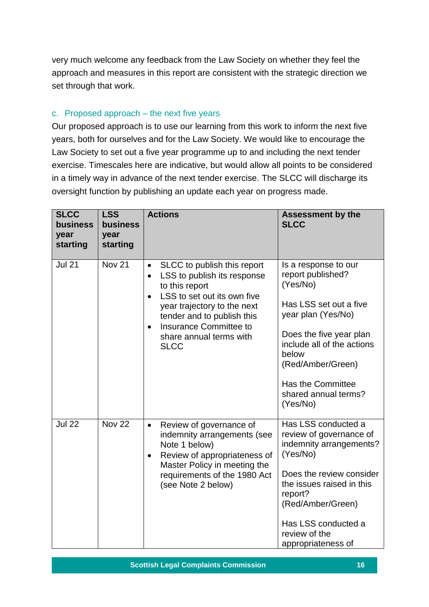very much welcome any feedback from the Law Society on whether they feel the approach and measures in this report are consistent with the strategic direction we set through that work.

#### <span id="page-15-0"></span>c. Proposed approach – the next five years

Our proposed approach is to use our learning from this work to inform the next five years, both for ourselves and for the Law Society. We would like to encourage the Law Society to set out a five year programme up to and including the next tender exercise. Timescales here are indicative, but would allow all points to be considered in a timely way in advance of the next tender exercise. The SLCC will discharge its oversight function by publishing an update each year on progress made.

| <b>SLCC</b><br>business<br>year<br>starting | <b>LSS</b><br>business<br>year<br>starting | <b>Actions</b>                                                                                                                                                                                                                                                                      | <b>Assessment by the</b><br><b>SLCC</b>                                                                                                                                                                                                                      |
|---------------------------------------------|--------------------------------------------|-------------------------------------------------------------------------------------------------------------------------------------------------------------------------------------------------------------------------------------------------------------------------------------|--------------------------------------------------------------------------------------------------------------------------------------------------------------------------------------------------------------------------------------------------------------|
| <b>Jul 21</b>                               | <b>Nov 21</b>                              | SLCC to publish this report<br>$\bullet$<br>LSS to publish its response<br>$\bullet$<br>to this report<br>LSS to set out its own five<br>$\bullet$<br>year trajectory to the next<br>tender and to publish this<br>Insurance Committee to<br>share annual terms with<br><b>SLCC</b> | Is a response to our<br>report published?<br>(Yes/No)<br>Has LSS set out a five<br>year plan (Yes/No)<br>Does the five year plan<br>include all of the actions<br>below<br>(Red/Amber/Green)<br><b>Has the Committee</b><br>shared annual terms?<br>(Yes/No) |
| <b>Jul 22</b>                               | <b>Nov 22</b>                              | Review of governance of<br>$\bullet$<br>indemnity arrangements (see<br>Note 1 below)<br>Review of appropriateness of<br>Master Policy in meeting the<br>requirements of the 1980 Act<br>(see Note 2 below)                                                                          | Has LSS conducted a<br>review of governance of<br>indemnity arrangements?<br>(Yes/No)<br>Does the review consider<br>the issues raised in this<br>report?<br>(Red/Amber/Green)<br>Has LSS conducted a<br>review of the<br>appropriateness of                 |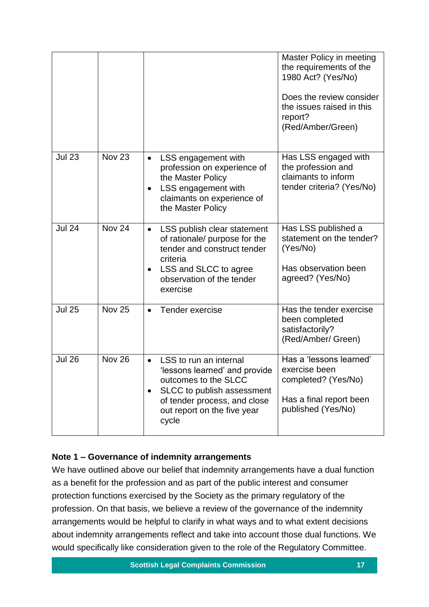|                                         |               |                                                                                                                                                                                        | Master Policy in meeting<br>the requirements of the<br>1980 Act? (Yes/No)<br>Does the review consider<br>the issues raised in this<br>report?<br>(Red/Amber/Green) |
|-----------------------------------------|---------------|----------------------------------------------------------------------------------------------------------------------------------------------------------------------------------------|--------------------------------------------------------------------------------------------------------------------------------------------------------------------|
| <b>Jul 23</b>                           | <b>Nov 23</b> | LSS engagement with<br>profession on experience of<br>the Master Policy<br>LSS engagement with<br>claimants on experience of<br>the Master Policy                                      | Has LSS engaged with<br>the profession and<br>claimants to inform<br>tender criteria? (Yes/No)                                                                     |
| <b>Jul 24</b>                           | Nov 24        | LSS publish clear statement<br>$\bullet$<br>of rationale/ purpose for the<br>tender and construct tender<br>criteria<br>LSS and SLCC to agree<br>observation of the tender<br>exercise | Has LSS published a<br>statement on the tender?<br>(Yes/No)<br>Has observation been<br>agreed? (Yes/No)                                                            |
| $\overline{\overline{\mathsf{Jul}}}$ 25 | <b>Nov 25</b> | Tender exercise<br>$\bullet$                                                                                                                                                           | Has the tender exercise<br>been completed<br>satisfactorily?<br>(Red/Amber/ Green)                                                                                 |
| <b>Jul 26</b>                           | <b>Nov 26</b> | LSS to run an internal<br>'lessons learned' and provide<br>outcomes to the SLCC<br>SLCC to publish assessment<br>of tender process, and close<br>out report on the five year<br>cycle  | Has a 'lessons learned'<br>exercise been<br>completed? (Yes/No)<br>Has a final report been<br>published (Yes/No)                                                   |

## **Note 1 – Governance of indemnity arrangements**

We have outlined above our belief that indemnity arrangements have a dual function as a benefit for the profession and as part of the public interest and consumer protection functions exercised by the Society as the primary regulatory of the profession. On that basis, we believe a review of the governance of the indemnity arrangements would be helpful to clarify in what ways and to what extent decisions about indemnity arrangements reflect and take into account those dual functions. We would specifically like consideration given to the role of the Regulatory Committee.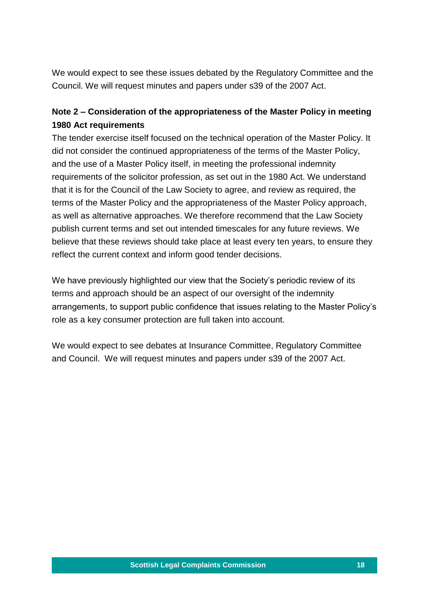We would expect to see these issues debated by the Regulatory Committee and the Council. We will request minutes and papers under s39 of the 2007 Act.

## **Note 2 – Consideration of the appropriateness of the Master Policy in meeting 1980 Act requirements**

The tender exercise itself focused on the technical operation of the Master Policy. It did not consider the continued appropriateness of the terms of the Master Policy, and the use of a Master Policy itself, in meeting the professional indemnity requirements of the solicitor profession, as set out in the 1980 Act. We understand that it is for the Council of the Law Society to agree, and review as required, the terms of the Master Policy and the appropriateness of the Master Policy approach, as well as alternative approaches. We therefore recommend that the Law Society publish current terms and set out intended timescales for any future reviews. We believe that these reviews should take place at least every ten years, to ensure they reflect the current context and inform good tender decisions.

We have previously highlighted our view that the Society's periodic review of its terms and approach should be an aspect of our oversight of the indemnity arrangements, to support public confidence that issues relating to the Master Policy's role as a key consumer protection are full taken into account.

We would expect to see debates at Insurance Committee, Regulatory Committee and Council. We will request minutes and papers under s39 of the 2007 Act.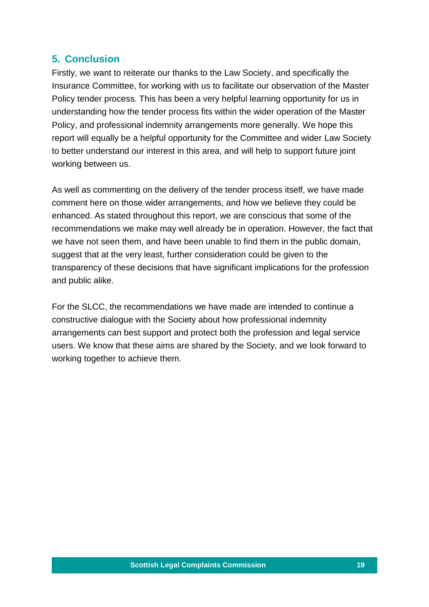## <span id="page-18-0"></span>**5. Conclusion**

Firstly, we want to reiterate our thanks to the Law Society, and specifically the Insurance Committee, for working with us to facilitate our observation of the Master Policy tender process. This has been a very helpful learning opportunity for us in understanding how the tender process fits within the wider operation of the Master Policy, and professional indemnity arrangements more generally. We hope this report will equally be a helpful opportunity for the Committee and wider Law Society to better understand our interest in this area, and will help to support future joint working between us.

As well as commenting on the delivery of the tender process itself, we have made comment here on those wider arrangements, and how we believe they could be enhanced. As stated throughout this report, we are conscious that some of the recommendations we make may well already be in operation. However, the fact that we have not seen them, and have been unable to find them in the public domain, suggest that at the very least, further consideration could be given to the transparency of these decisions that have significant implications for the profession and public alike.

For the SLCC, the recommendations we have made are intended to continue a constructive dialogue with the Society about how professional indemnity arrangements can best support and protect both the profession and legal service users. We know that these aims are shared by the Society, and we look forward to working together to achieve them.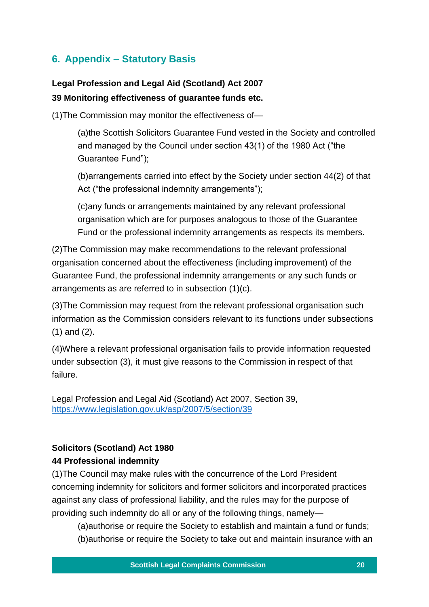# <span id="page-19-0"></span>**6. Appendix – Statutory Basis**

## **Legal Profession and Legal Aid (Scotland) Act 2007 39 Monitoring effectiveness of guarantee funds etc.**

(1)The Commission may monitor the effectiveness of—

(a)the Scottish Solicitors Guarantee Fund vested in the Society and controlled and managed by the Council under section 43(1) of the 1980 Act ("the Guarantee Fund");

(b)arrangements carried into effect by the Society under section 44(2) of that Act ("the professional indemnity arrangements");

(c)any funds or arrangements maintained by any relevant professional organisation which are for purposes analogous to those of the Guarantee Fund or the professional indemnity arrangements as respects its members.

(2)The Commission may make recommendations to the relevant professional organisation concerned about the effectiveness (including improvement) of the Guarantee Fund, the professional indemnity arrangements or any such funds or arrangements as are referred to in subsection (1)(c).

(3)The Commission may request from the relevant professional organisation such information as the Commission considers relevant to its functions under subsections (1) and (2).

(4)Where a relevant professional organisation fails to provide information requested under subsection (3), it must give reasons to the Commission in respect of that failure.

Legal Profession and Legal Aid (Scotland) Act 2007, Section 39, <https://www.legislation.gov.uk/asp/2007/5/section/39>

## **Solicitors (Scotland) Act 1980 44 Professional indemnity**

(1)The Council may make rules with the concurrence of the Lord President concerning indemnity for solicitors and former solicitors and incorporated practices against any class of professional liability, and the rules may for the purpose of providing such indemnity do all or any of the following things, namely—

(a)authorise or require the Society to establish and maintain a fund or funds; (b)authorise or require the Society to take out and maintain insurance with an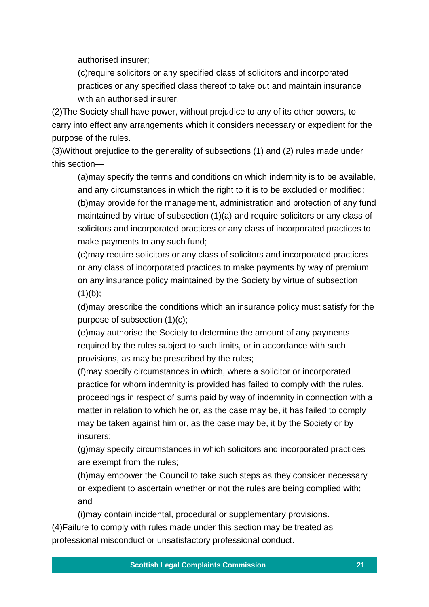authorised insurer;

(c)require solicitors or any specified class of solicitors and incorporated practices or any specified class thereof to take out and maintain insurance with an authorised insurer.

(2)The Society shall have power, without prejudice to any of its other powers, to carry into effect any arrangements which it considers necessary or expedient for the purpose of the rules.

(3)Without prejudice to the generality of subsections (1) and (2) rules made under this section—

(a)may specify the terms and conditions on which indemnity is to be available, and any circumstances in which the right to it is to be excluded or modified; (b)may provide for the management, administration and protection of any fund maintained by virtue of subsection (1)(a) and require solicitors or any class of solicitors and incorporated practices or any class of incorporated practices to make payments to any such fund;

(c)may require solicitors or any class of solicitors and incorporated practices or any class of incorporated practices to make payments by way of premium on any insurance policy maintained by the Society by virtue of subsection  $(1)(b);$ 

(d)may prescribe the conditions which an insurance policy must satisfy for the purpose of subsection (1)(c);

(e)may authorise the Society to determine the amount of any payments required by the rules subject to such limits, or in accordance with such provisions, as may be prescribed by the rules;

(f)may specify circumstances in which, where a solicitor or incorporated practice for whom indemnity is provided has failed to comply with the rules, proceedings in respect of sums paid by way of indemnity in connection with a matter in relation to which he or, as the case may be, it has failed to comply may be taken against him or, as the case may be, it by the Society or by insurers;

(g)may specify circumstances in which solicitors and incorporated practices are exempt from the rules;

(h)may empower the Council to take such steps as they consider necessary or expedient to ascertain whether or not the rules are being complied with; and

(i)may contain incidental, procedural or supplementary provisions. (4)Failure to comply with rules made under this section may be treated as professional misconduct or unsatisfactory professional conduct.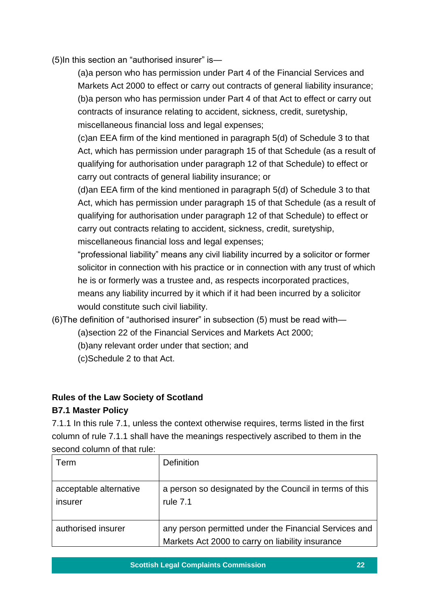(5)In this section an "authorised insurer" is—

(a)a person who has permission under Part 4 of the Financial Services and Markets Act 2000 to effect or carry out contracts of general liability insurance; (b)a person who has permission under Part 4 of that Act to effect or carry out contracts of insurance relating to accident, sickness, credit, suretyship, miscellaneous financial loss and legal expenses;

(c)an EEA firm of the kind mentioned in paragraph 5(d) of Schedule 3 to that Act, which has permission under paragraph 15 of that Schedule (as a result of qualifying for authorisation under paragraph 12 of that Schedule) to effect or carry out contracts of general liability insurance; or

(d)an EEA firm of the kind mentioned in paragraph 5(d) of Schedule 3 to that Act, which has permission under paragraph 15 of that Schedule (as a result of qualifying for authorisation under paragraph 12 of that Schedule) to effect or carry out contracts relating to accident, sickness, credit, suretyship, miscellaneous financial loss and legal expenses;

"professional liability" means any civil liability incurred by a solicitor or former solicitor in connection with his practice or in connection with any trust of which he is or formerly was a trustee and, as respects incorporated practices, means any liability incurred by it which if it had been incurred by a solicitor would constitute such civil liability.

(6)The definition of "authorised insurer" in subsection (5) must be read with—

(a)section 22 of the Financial Services and Markets Act 2000;

(b)any relevant order under that section; and

(c)Schedule 2 to that Act.

## **Rules of the Law Society of Scotland**

## **B7.1 Master Policy**

7.1.1 In this rule 7.1, unless the context otherwise requires, terms listed in the first column of rule 7.1.1 shall have the meanings respectively ascribed to them in the

| Term                              | Definition                                                                                                |
|-----------------------------------|-----------------------------------------------------------------------------------------------------------|
| acceptable alternative<br>insurer | a person so designated by the Council in terms of this<br>rule 7.1                                        |
| authorised insurer                | any person permitted under the Financial Services and<br>Markets Act 2000 to carry on liability insurance |

second column of that rule: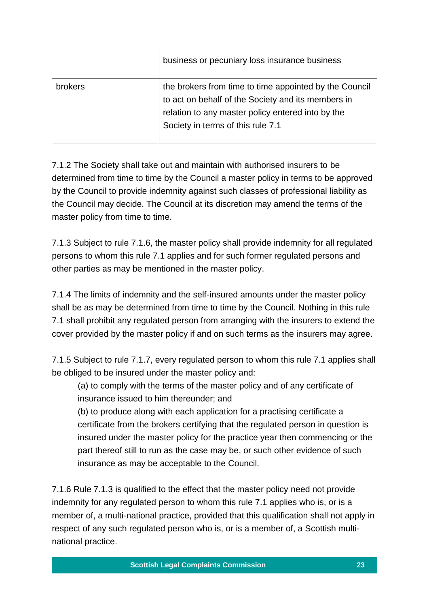|         | business or pecuniary loss insurance business                                                                                                                                                          |
|---------|--------------------------------------------------------------------------------------------------------------------------------------------------------------------------------------------------------|
| brokers | the brokers from time to time appointed by the Council<br>to act on behalf of the Society and its members in<br>relation to any master policy entered into by the<br>Society in terms of this rule 7.1 |

7.1.2 The Society shall take out and maintain with authorised insurers to be determined from time to time by the Council a master policy in terms to be approved by the Council to provide indemnity against such classes of professional liability as the Council may decide. The Council at its discretion may amend the terms of the master policy from time to time.

7.1.3 Subject to rule 7.1.6, the master policy shall provide indemnity for all regulated persons to whom this rule 7.1 applies and for such former regulated persons and other parties as may be mentioned in the master policy.

7.1.4 The limits of indemnity and the self-insured amounts under the master policy shall be as may be determined from time to time by the Council. Nothing in this rule 7.1 shall prohibit any regulated person from arranging with the insurers to extend the cover provided by the master policy if and on such terms as the insurers may agree.

7.1.5 Subject to rule 7.1.7, every regulated person to whom this rule 7.1 applies shall be obliged to be insured under the master policy and:

(a) to comply with the terms of the master policy and of any certificate of insurance issued to him thereunder; and

(b) to produce along with each application for a practising certificate a certificate from the brokers certifying that the regulated person in question is insured under the master policy for the practice year then commencing or the part thereof still to run as the case may be, or such other evidence of such insurance as may be acceptable to the Council.

7.1.6 Rule 7.1.3 is qualified to the effect that the master policy need not provide indemnity for any regulated person to whom this rule 7.1 applies who is, or is a member of, a multi-national practice, provided that this qualification shall not apply in respect of any such regulated person who is, or is a member of, a Scottish multinational practice.